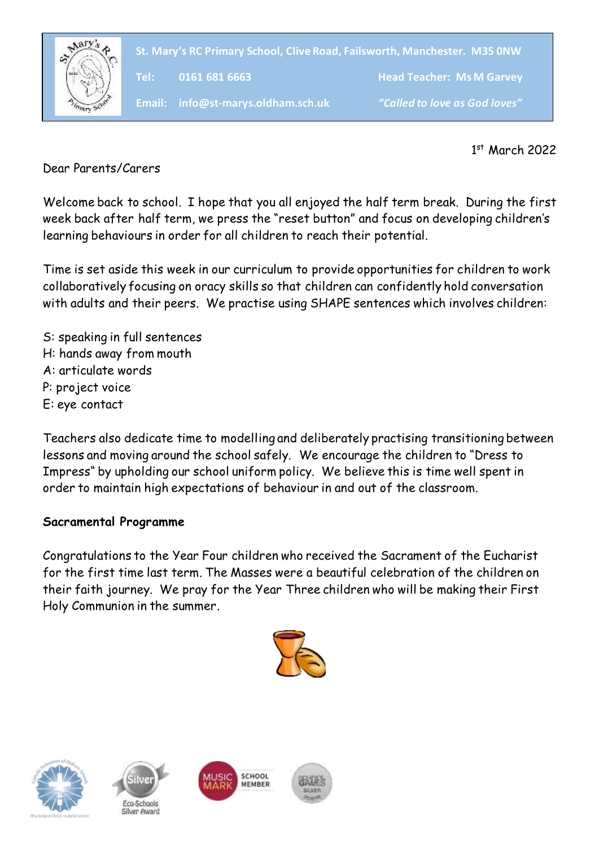

**St. Mary's RC Primary School, Clive Road, Failsworth, Manchester. M35 0NW**

**Tel: 0161 681 6663 Head Teacher: Ms M Garvey**

**Email: info@st-marys.oldham.sch.uk** *"Called to love as God loves"*

1 st March 2022

Dear Parents/Carers

Welcome back to school. I hope that you all enjoyed the half term break. During the first week back after half term, we press the "reset button" and focus on developing children's learning behaviours in order for all children to reach their potential.

Time is set aside this week in our curriculum to provide opportunities for children to work collaboratively focusing on oracy skills so that children can confidently hold conversation with adults and their peers. We practise using SHAPE sentences which involves children:

S: speaking in full sentences H: hands away from mouth A: articulate words P: project voice E: eye contact

Teachers also dedicate time to modelling and deliberately practising transitioning between lessons and moving around the school safely. We encourage the children to "Dress to Impress" by upholding our school uniform policy. We believe this is time well spent in order to maintain high expectations of behaviour in and out of the classroom.

### **Sacramental Programme**

Congratulations to the Year Four children who received the Sacrament of the Eucharist for the first time last term. The Masses were a beautiful celebration of the children on their faith journey. We pray for the Year Three children who will be making their First Holy Communion in the summer.









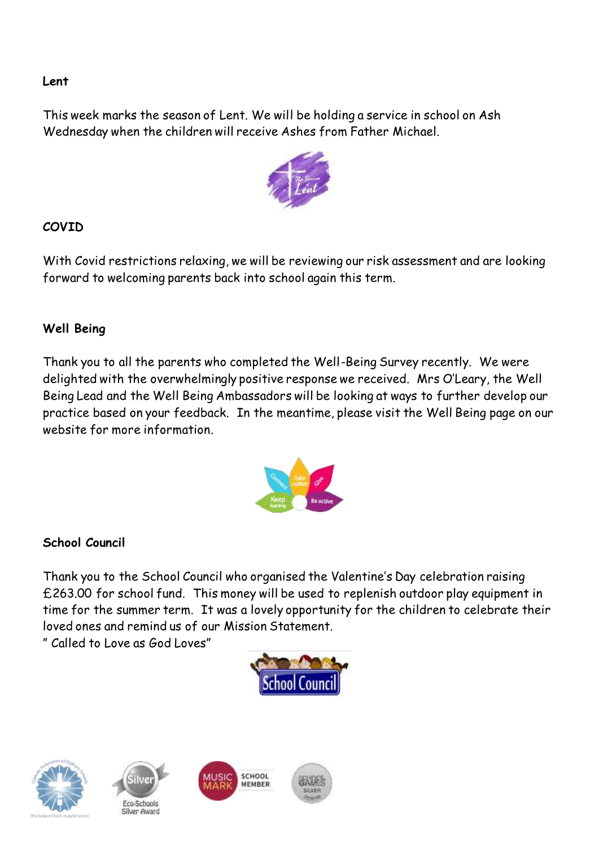### **Lent**

This week marks the season of Lent. We will be holding a service in school on Ash Wednesday when the children will receive Ashes from Father Michael.



# **COVID**

With Covid restrictions relaxing, we will be reviewing our risk assessment and are looking forward to welcoming parents back into school again this term.

## **Well Being**

Thank you to all the parents who completed the Well-Being Survey recently. We were delighted with the overwhelmingly positive response we received. Mrs O'Leary, the Well Being Lead and the Well Being Ambassadors will be looking at ways to further develop our practice based on your feedback. In the meantime, please visit the Well Being page on our website for more information.



### **School Council**

Thank you to the School Council who organised the Valentine's Day celebration raising £263.00 for school fund. This money will be used to replenish outdoor play equipment in time for the summer term. It was a lovely opportunity for the children to celebrate their loved ones and remind us of our Mission Statement.

" Called to Love as God Loves"









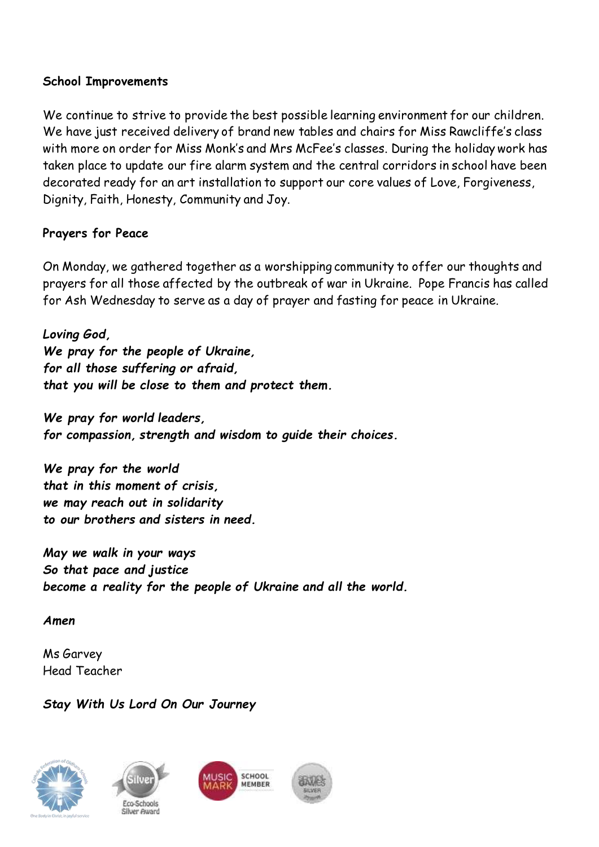### **School Improvements**

We continue to strive to provide the best possible learning environment for our children. We have just received delivery of brand new tables and chairs for Miss Rawcliffe's class with more on order for Miss Monk's and Mrs McFee's classes. During the holiday work has taken place to update our fire alarm system and the central corridors in school have been decorated ready for an art installation to support our core values of Love, Forgiveness, Dignity, Faith, Honesty, Community and Joy.

### **Prayers for Peace**

On Monday, we gathered together as a worshipping community to offer our thoughts and prayers for all those affected by the outbreak of war in Ukraine. Pope Francis has called for Ash Wednesday to serve as a day of prayer and fasting for peace in Ukraine.

*Loving God, We pray for the people of Ukraine, for all those suffering or afraid, that you will be close to them and protect them.*

*We pray for world leaders, for compassion, strength and wisdom to guide their choices.*

*We pray for the world that in this moment of crisis, we may reach out in solidarity to our brothers and sisters in need.*

*May we walk in your ways So that pace and justice become a reality for the people of Ukraine and all the world.*

*Amen*

Ms Garvey Head Teacher

*Stay With Us Lord On Our Journey*